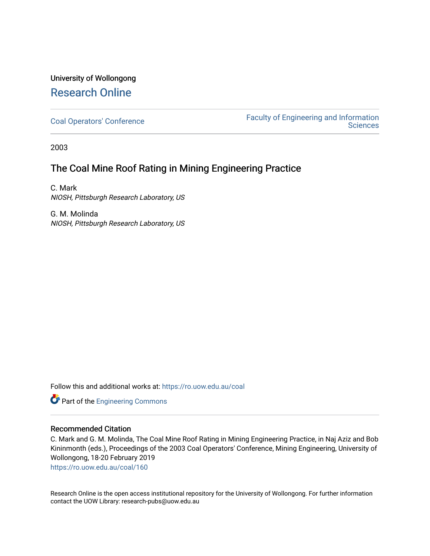# University of Wollongong [Research Online](https://ro.uow.edu.au/)

[Coal Operators' Conference](https://ro.uow.edu.au/coal) [Faculty of Engineering and Information](https://ro.uow.edu.au/eis)  **Sciences** 

2003

# The Coal Mine Roof Rating in Mining Engineering Practice

C. Mark NIOSH, Pittsburgh Research Laboratory, US

G. M. Molinda NIOSH, Pittsburgh Research Laboratory, US

Follow this and additional works at: [https://ro.uow.edu.au/coal](https://ro.uow.edu.au/coal?utm_source=ro.uow.edu.au%2Fcoal%2F160&utm_medium=PDF&utm_campaign=PDFCoverPages) 

Part of the [Engineering Commons](http://network.bepress.com/hgg/discipline/217?utm_source=ro.uow.edu.au%2Fcoal%2F160&utm_medium=PDF&utm_campaign=PDFCoverPages)

# Recommended Citation

C. Mark and G. M. Molinda, The Coal Mine Roof Rating in Mining Engineering Practice, in Naj Aziz and Bob Kininmonth (eds.), Proceedings of the 2003 Coal Operators' Conference, Mining Engineering, University of Wollongong, 18-20 February 2019

[https://ro.uow.edu.au/coal/160](https://ro.uow.edu.au/coal/160?utm_source=ro.uow.edu.au%2Fcoal%2F160&utm_medium=PDF&utm_campaign=PDFCoverPages) 

Research Online is the open access institutional repository for the University of Wollongong. For further information contact the UOW Library: research-pubs@uow.edu.au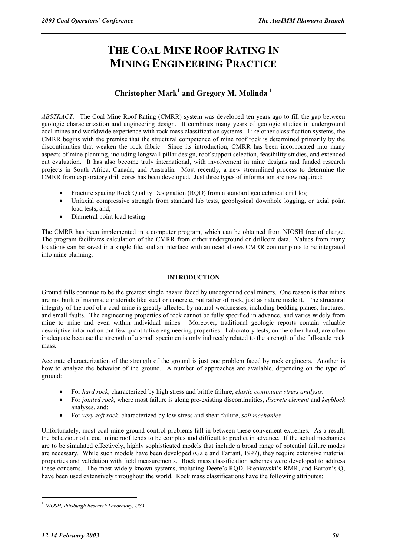# **THE COAL MINE ROOF RATING IN MINING ENGINEERING PRACTICE**

# **Christopher Mark<sup>1</sup> and Gregory M. Molinda 1**

*ABSTRACT:* The Coal Mine Roof Rating (CMRR) system was developed ten years ago to fill the gap between geologic characterization and engineering design. It combines many years of geologic studies in underground coal mines and worldwide experience with rock mass classification systems. Like other classification systems, the CMRR begins with the premise that the structural competence of mine roof rock is determined primarily by the discontinuities that weaken the rock fabric. Since its introduction, CMRR has been incorporated into many aspects of mine planning, including longwall pillar design, roof support selection, feasibility studies, and extended cut evaluation. It has also become truly international, with involvement in mine designs and funded research projects in South Africa, Canada, and Australia. Most recently, a new streamlined process to determine the CMRR from exploratory drill cores has been developed. Just three types of information are now required:

- Fracture spacing Rock Quality Designation (RQD) from a standard geotechnical drill log
- Uniaxial compressive strength from standard lab tests, geophysical downhole logging, or axial point load tests, and;
- Diametral point load testing.

The CMRR has been implemented in a computer program, which can be obtained from NIOSH free of charge. The program facilitates calculation of the CMRR from either underground or drillcore data. Values from many locations can be saved in a single file, and an interface with autocad allows CMRR contour plots to be integrated into mine planning.

# **INTRODUCTION**

Ground falls continue to be the greatest single hazard faced by underground coal miners. One reason is that mines are not built of manmade materials like steel or concrete, but rather of rock, just as nature made it. The structural integrity of the roof of a coal mine is greatly affected by natural weaknesses, including bedding planes, fractures, and small faults. The engineering properties of rock cannot be fully specified in advance, and varies widely from mine to mine and even within individual mines. Moreover, traditional geologic reports contain valuable descriptive information but few quantitative engineering properties. Laboratory tests, on the other hand, are often inadequate because the strength of a small specimen is only indirectly related to the strength of the full-scale rock mass.

Accurate characterization of the strength of the ground is just one problem faced by rock engineers. Another is how to analyze the behavior of the ground. A number of approaches are available, depending on the type of ground:

- For *hard rock*, characterized by high stress and brittle failure, *elastic continuum stress analysis;*
- For *jointed rock,* where most failure is along pre-existing discontinuities, *discrete element* and *keyblock* analyses, and;
- For *very soft rock*, characterized by low stress and shear failure, *soil mechanics.*

Unfortunately, most coal mine ground control problems fall in between these convenient extremes. As a result, the behaviour of a coal mine roof tends to be complex and difficult to predict in advance. If the actual mechanics are to be simulated effectively, highly sophisticated models that include a broad range of potential failure modes are necessary. While such models have been developed (Gale and Tarrant, 1997), they require extensive material properties and validation with field measurements. Rock mass classification schemes were developed to address these concerns. The most widely known systems, including Deere's RQD, Bieniawski's RMR, and Barton's Q, have been used extensively throughout the world. Rock mass classifications have the following attributes:

 $\overline{a}$ 

<sup>1</sup> *NIOSH, Pittsburgh Research Laboratory, USA*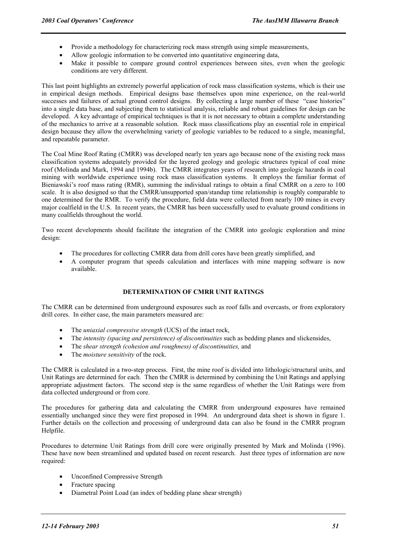- Provide a methodology for characterizing rock mass strength using simple measurements,
- Allow geologic information to be converted into quantitative engineering data,
- Make it possible to compare ground control experiences between sites, even when the geologic conditions are very different.

This last point highlights an extremely powerful application of rock mass classification systems, which is their use in empirical design methods. Empirical designs base themselves upon mine experience, on the real-world successes and failures of actual ground control designs. By collecting a large number of these "case histories" into a single data base, and subjecting them to statistical analysis, reliable and robust guidelines for design can be developed. A key advantage of empirical techniques is that it is not necessary to obtain a complete understanding of the mechanics to arrive at a reasonable solution. Rock mass classifications play an essential role in empirical design because they allow the overwhelming variety of geologic variables to be reduced to a single, meaningful, and repeatable parameter.

The Coal Mine Roof Rating (CMRR) was developed nearly ten years ago because none of the existing rock mass classification systems adequately provided for the layered geology and geologic structures typical of coal mine roof (Molinda and Mark, 1994 and 1994b). The CMRR integrates years of research into geologic hazards in coal mining with worldwide experience using rock mass classification systems. It employs the familiar format of Bieniawski's roof mass rating (RMR), summing the individual ratings to obtain a final CMRR on a zero to 100 scale. It is also designed so that the CMRR/unsupported span/standup time relationship is roughly comparable to one determined for the RMR. To verify the procedure, field data were collected from nearly 100 mines in every major coalfield in the U.S. In recent years, the CMRR has been successfully used to evaluate ground conditions in many coalfields throughout the world.

Two recent developments should facilitate the integration of the CMRR into geologic exploration and mine design:

- The procedures for collecting CMRR data from drill cores have been greatly simplified, and
- A computer program that speeds calculation and interfaces with mine mapping software is now available.

# **DETERMINATION OF CMRR UNIT RATINGS**

The CMRR can be determined from underground exposures such as roof falls and overcasts, or from exploratory drill cores. In either case, the main parameters measured are:

- The *uniaxial compressive strength* (UCS) of the intact rock,
- The *intensity (spacing and persistence) of discontinuities* such as bedding planes and slickensides,
- The *shear strength (cohesion and roughness) of discontinuities,* and
- The *moisture sensitivity* of the rock.

The CMRR is calculated in a two-step process. First, the mine roof is divided into lithologic/structural units, and Unit Ratings are determined for each. Then the CMRR is determined by combining the Unit Ratings and applying appropriate adjustment factors. The second step is the same regardless of whether the Unit Ratings were from data collected underground or from core.

The procedures for gathering data and calculating the CMRR from underground exposures have remained essentially unchanged since they were first proposed in 1994. An underground data sheet is shown in figure 1. Further details on the collection and processing of underground data can also be found in the CMRR program Helpfile.

Procedures to determine Unit Ratings from drill core were originally presented by Mark and Molinda (1996). These have now been streamlined and updated based on recent research. Just three types of information are now required:

- Unconfined Compressive Strength
- Fracture spacing
- Diametral Point Load (an index of bedding plane shear strength)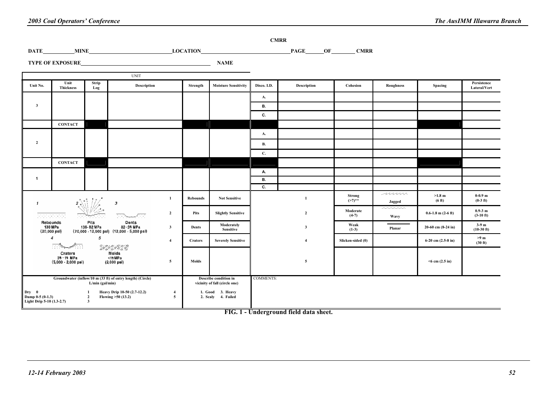|                         |                          |              | <b>UNIT</b> |          |                             |             |             |          |           |         |                             |
|-------------------------|--------------------------|--------------|-------------|----------|-----------------------------|-------------|-------------|----------|-----------|---------|-----------------------------|
| Unit No.                | Unit<br><b>Thickness</b> | Strip<br>Log | Description | Strength | <b>Moisture Sensitivity</b> | Disco. I.D. | Description | Cohesion | Roughness | Spacing | Persistence<br>Lateral/Vert |
|                         |                          |              |             |          |                             | A.          |             |          |           |         |                             |
| $\overline{\mathbf{3}}$ |                          |              |             |          |                             | В.          |             |          |           |         |                             |
|                         |                          |              |             |          |                             | C.          |             |          |           |         |                             |
|                         | <b>CONTACT</b>           |              |             |          |                             |             |             |          |           |         |                             |
|                         |                          |              |             |          |                             | A.          |             |          |           |         |                             |
| $\overline{2}$          |                          |              |             |          |                             | <b>B.</b>   |             |          |           |         |                             |
|                         |                          |              |             |          |                             | C.          |             |          |           |         |                             |
|                         | <b>CONTACT</b>           |              |             |          |                             |             |             |          |           |         |                             |
|                         |                          |              |             |          |                             | А.          |             |          |           |         |                             |
|                         |                          |              |             |          |                             | В.          |             |          |           |         |                             |
|                         |                          |              |             |          |                             | C.          |             |          |           |         |                             |

|                                                        |                                                                                                                                        |                                                                                                                                                                                                                                          |                |                                                        | А.               |                |                            |                                                   |                            |                            |
|--------------------------------------------------------|----------------------------------------------------------------------------------------------------------------------------------------|------------------------------------------------------------------------------------------------------------------------------------------------------------------------------------------------------------------------------------------|----------------|--------------------------------------------------------|------------------|----------------|----------------------------|---------------------------------------------------|----------------------------|----------------------------|
|                                                        |                                                                                                                                        |                                                                                                                                                                                                                                          |                |                                                        | В.               |                |                            |                                                   |                            |                            |
|                                                        |                                                                                                                                        |                                                                                                                                                                                                                                          |                |                                                        | С.               |                |                            |                                                   |                            |                            |
|                                                        | $\sum_{i=1}^{n}$                                                                                                                       | 3                                                                                                                                                                                                                                        | Rebounds       | <b>Not Sensitive</b>                                   |                  |                | <b>Strong</b><br>$(27)$ ** | nnn<br>Jagged                                     | $>1.8$ m<br>(6 ft)         | $0-0.9$ m<br>$(0-3$ ft)    |
|                                                        | rununun ununun unung<br>1000<br>.<br>.                                                                                                 | $\overline{2}$<br>ميتي <i>مي</i> ب<br>ਨਾ<br>.                                                                                                                                                                                            | Pits           | <b>Slightly Sensitive</b>                              |                  | $\overline{2}$ | Moderate<br>$(4-7)$        | $\sim$ $\sim$ $\sim$ $\sim$ $\sim$<br><b>Wavy</b> | $0.6 - 1.8$ m $(2 - 6$ ft) | $0.9 - 3$ m<br>$(3-10$ ft) |
|                                                        | Pits<br>Rebounds<br>138 M Pa<br>138-82 MPa<br>$(20,000 - 12,000 \text{ psi})$ $(12,000 - 5,000 \text{ psi})$<br>$(20,000 \text{ psl})$ | Dents<br>82-34 MPa<br>3                                                                                                                                                                                                                  | Dents          | Moderately<br><b>Sensitive</b>                         |                  | 3              | Weak<br>$(1-3)$            | Planar                                            | $20-60$ cm $(8-24$ in)     | $3-9m$<br>$(10-30)$ ft)    |
|                                                        | 5<br>4<br>$\overline{\phantom{a}}$                                                                                                     | $\label{eq:2.1} \begin{array}{ll} \begin{array}{ll} \circ & \circ & \circ & \circ \\ \circ & \circ & \circ & \circ \end{array} \end{array} \begin{array}{ll} \circ & \circ & \circ & \circ \\ \circ & \circ & \circ & \circ \end{array}$ | <b>Craters</b> | <b>Severely Sensitive</b>                              |                  |                | Slicken-sided (0)          |                                                   | $6-20$ cm $(2.5-8$ in)     | $>9$ m<br>(30 ft)          |
|                                                        | Craters<br>34 - 14 MPa<br>$(5,000 - 2,000 \text{ psi})$                                                                                | Molds<br><14 MPa<br>-5<br>$(2,000 \text{ psi})$                                                                                                                                                                                          | Molds          |                                                        |                  | 5              |                            |                                                   | $<$ 6 cm (2.5 in)          |                            |
|                                                        | Groundwater (inflow/10 m (33 ft) of entry length) (Circle)<br>$L/min$ (gal/min)                                                        |                                                                                                                                                                                                                                          |                | Describe condition in<br>vicinity of fall (circle one) | <b>COMMENTS:</b> |                |                            |                                                   |                            |                            |
| Dry 0<br>Damp 0-5 (0-1.3)<br>Light Drip 5-10 (1.3-2.7) |                                                                                                                                        | Heavy Drip 10-50 (2.7-12.2)<br>Flowing >50 (13.2)                                                                                                                                                                                        |                | 1. Good 3. Heavy<br>2. Scaly 4. Failed                 |                  |                |                            |                                                   |                            |                            |

**FIG. 1 - Underground field data sheet.** 

—  $\overline{\phantom{0}}$ 

**CMRR** 

PAGE OF CMRR

**DATE** MINE LOCATION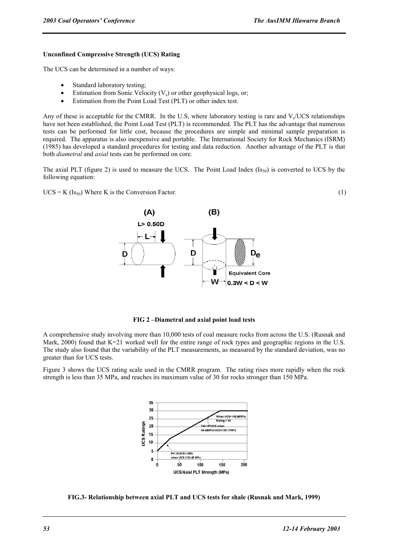## **Unconfined Compressive Strength (UCS) Rating**

The UCS can be determined in a number of ways:

- Standard laboratory testing;
- Estimation from Sonic Velocity  $(V_s)$  or other geophysical logs, or;
- Estimation from the Point Load Test (PLT) or other index test.

Any of these is acceptable for the CMRR. In the U.S, where laboratory testing is rare and  $V<sub>s</sub>/UCS$  relationships have not been established, the Point Load Test (PLT) is recommended. The PLT has the advantage that numerous tests can be performed for little cost, because the procedures are simple and minimal sample preparation is required. The apparatus is also inexpensive and portable. The International Society for Rock Mechanics (ISRM) (1985) has developed a standard procedures for testing and data reduction. Another advantage of the PLT is that both *diametral* and *axial* tests can be performed on core.

The axial PLT (figure 2) is used to measure the UCS. The Point Load Index  $(Is<sub>50</sub>)$  is converted to UCS by the following equation:

 $UCS = K (Is<sub>50</sub>)$  Where K is the Conversion Factor. (1)



**FIG 2 –Diametral and axial point load tests** 

A comprehensive study involving more than 10,000 tests of coal measure rocks from across the U.S. (Rusnak and Mark, 2000) found that K=21 worked well for the entire range of rock types and geographic regions in the U.S. The study also found that the variability of the PLT measurements, as measured by the standard deviation, was no greater than for UCS tests.

Figure 3 shows the UCS rating scale used in the CMRR program. The rating rises more rapidly when the rock strength is less than 35 MPa, and reaches its maximum value of 30 for rocks stronger than 150 MPa.



**FIG.3- Relationship between axial PLT and UCS tests for shale (Rusnak and Mark, 1999)**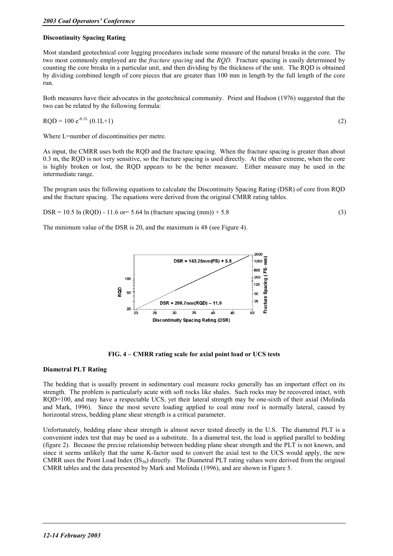# **Discontinuity Spacing Rating**

Most standard geotechnical core logging procedures include some measure of the natural breaks in the core. The two most commonly employed are the *fracture spacing* and the *RQD*. Fracture spacing is easily determined by counting the core breaks in a particular unit, and then dividing by the thickness of the unit. The RQD is obtained by dividing combined length of core pieces that are greater than 100 mm in length by the full length of the core run.

Both measures have their advocates in the geotechnical community. Priest and Hudson (1976) suggested that the two can be related by the following formula:

$$
RQD = 100 e^{-0.1L} (0.1L+1)
$$
 (2)

Where L=number of discontinuities per metre.

As input, the CMRR uses both the RQD and the fracture spacing. When the fracture spacing is greater than about 0.3 m, the RQD is not very sensitive, so the fracture spacing is used directly. At the other extreme, when the core is highly broken or lost, the RQD appears to be the better measure. Either measure may be used in the intermediate range.

The program uses the following equations to calculate the Discontinuity Spacing Rating (DSR) of core from RQD and the fracture spacing. The equations were derived from the original CMRR rating tables.

$$
DSR = 10.5 \ln (RQD) - 11.6 \text{ or} = 5.64 \ln (fracture spacing (mm)) + 5.8 \tag{3}
$$

The minimum value of the DSR is 20, and the maximum is 48 (see Figure 4).



**FIG. 4 – CMRR rating scale for axial point load or UCS tests** 

# **Diametral PLT Rating**

The bedding that is usually present in sedimentary coal measure rocks generally has an important effect on its strength. The problem is particularly acute with soft rocks like shales. Such rocks may be recovered intact, with RQD=100, and may have a respectable UCS, yet their lateral strength may be one-sixth of their axial (Molinda and Mark, 1996). Since the most severe loading applied to coal mine roof is normally lateral, caused by horizontal stress, bedding plane shear strength is a critical parameter.

Unfortunately, bedding plane shear strength is almost never tested directly in the U.S. The diametral PLT is a convenient index test that may be used as a substitute. In a diametral test, the load is applied parallel to bedding (figure 2). Because the precise relationship between bedding plane shear strength and the PLT is not known, and since it seems unlikely that the same K-factor used to convert the axial test to the UCS would apply, the new CMRR uses the Point Load Index  $(IS_{50})$  directly. The Diametral PLT rating values were derived from the original CMRR tables and the data presented by Mark and Molinda (1996), and are shown in Figure 5.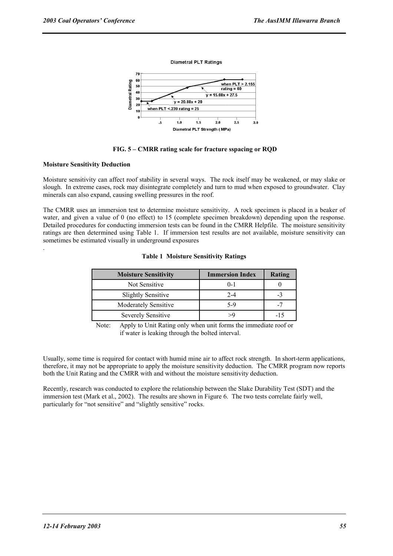





# **Moisture Sensitivity Deduction**

.

Moisture sensitivity can affect roof stability in several ways. The rock itself may be weakened, or may slake or slough. In extreme cases, rock may disintegrate completely and turn to mud when exposed to groundwater. Clay minerals can also expand, causing swelling pressures in the roof.

The CMRR uses an immersion test to determine moisture sensitivity. A rock specimen is placed in a beaker of water, and given a value of 0 (no effect) to 15 (complete specimen breakdown) depending upon the response. Detailed procedures for conducting immersion tests can be found in the CMRR Helpfile. The moisture sensitivity ratings are then determined using Table 1. If immersion test results are not available, moisture sensitivity can sometimes be estimated visually in underground exposures

| <b>Moisture Sensitivity</b> | <b>Immersion Index</b> | Rating |
|-----------------------------|------------------------|--------|
| Not Sensitive               | $0-1$                  |        |
| <b>Slightly Sensitive</b>   | $2-4$                  | -3     |
| <b>Moderately Sensitive</b> | 5-9                    | -7     |
| Severely Sensitive          |                        | -15    |

#### **Table 1 Moisture Sensitivity Ratings**

Note: Apply to Unit Rating only when unit forms the immediate roof or if water is leaking through the bolted interval.

Usually, some time is required for contact with humid mine air to affect rock strength. In short-term applications, therefore, it may not be appropriate to apply the moisture sensitivity deduction. The CMRR program now reports both the Unit Rating and the CMRR with and without the moisture sensitivity deduction.

Recently, research was conducted to explore the relationship between the Slake Durability Test (SDT) and the immersion test (Mark et al., 2002). The results are shown in Figure 6. The two tests correlate fairly well, particularly for "not sensitive" and "slightly sensitive" rocks.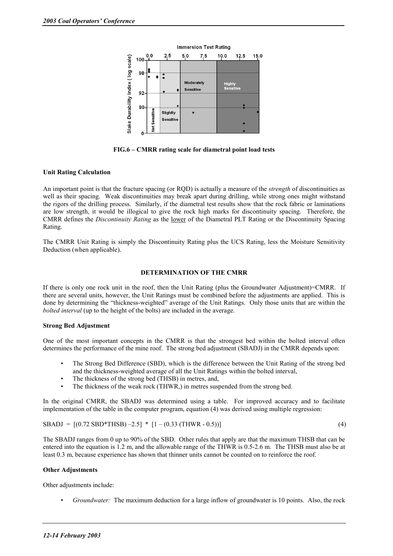

**FIG.6 – CMRR rating scale for diametral point load tests** 

# **Unit Rating Calculation**

An important point is that the fracture spacing (or RQD) is actually a measure of the *strength* of discontinuities as well as their spacing. Weak discontinuities may break apart during drilling, while strong ones might withstand the rigors of the drilling process. Similarly, if the diametral test results show that the rock fabric or laminations are low strength, it would be illogical to give the rock high marks for discontinuity spacing. Therefore, the CMRR defines the *Discontinuity Rating* as the lower of the Diametral PLT Rating or the Discontinuity Spacing Rating.

The CMRR Unit Rating is simply the Discontinuity Rating plus the UCS Rating, less the Moisture Sensitivity Deduction (when applicable).

#### **DETERMINATION OF THE CMRR**

If there is only one rock unit in the roof, then the Unit Rating (plus the Groundwater Adjustment)=CMRR. If there are several units, however, the Unit Ratings must be combined before the adjustments are applied. This is done by determining the "thickness-weighted" average of the Unit Ratings. Only those units that are within the *bolted interval* (up to the height of the bolts) are included in the average.

#### **Strong Bed Adjustment**

One of the most important concepts in the CMRR is that the strongest bed within the bolted interval often determines the performance of the mine roof. The strong bed adjustment (SBADJ) in the CMRR depends upon:

- The Strong Bed Difference (SBD), which is the difference between the Unit Rating of the strong bed and the thickness-weighted average of all the Unit Ratings within the bolted interval,
- The thickness of the strong bed (THSB) in metres, and,
- The thickness of the weak rock (THWR,) in metres suspended from the strong bed.

In the original CMRR, the SBADJ was determined using a table. For improved accuracy and to facilitate implementation of the table in the computer program, equation (4) was derived using multiple regression:

$$
SBADJ = [(0.72 SBD*THSB) - 2.5] * [1 - (0.33 (THWR - 0.5))]
$$
\n(4)

The SBADJ ranges from 0 up to 90% of the SBD. Other rules that apply are that the maximum THSB that can be entered into the equation is 1.2 m, and the allowable range of the THWR is 0.5-2.6 m. The THSB must also be at least 0.3 m, because experience has shown that thinner units cannot be counted on to reinforce the roof.

#### **Other Adjustments**

Other adjustments include:

• *Groundwater:* The maximum deduction for a large inflow of groundwater is 10 points. Also, the rock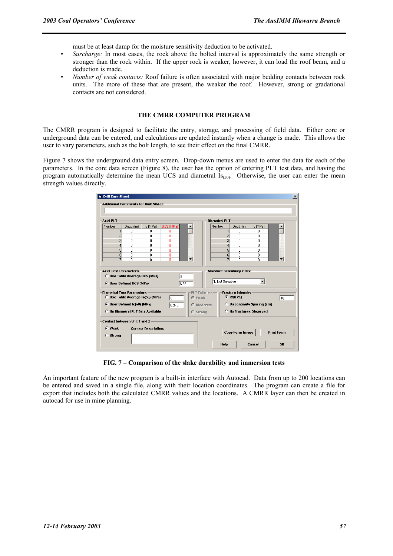must be at least damp for the moisture sensitivity deduction to be activated.

- *Surcharge:* In most cases, the rock above the bolted interval is approximately the same strength or stronger than the rock within. If the upper rock is weaker, however, it can load the roof beam, and a deduction is made.
- *Number of weak contacts:* Roof failure is often associated with major bedding contacts between rock units. The more of these that are present, the weaker the roof. However, strong or gradational contacts are not considered.

# **THE CMRR COMPUTER PROGRAM**

The CMRR program is designed to facilitate the entry, storage, and processing of field data. Either core or underground data can be entered, and calculations are updated instantly when a change is made. This allows the user to vary parameters, such as the bolt length, to see their effect on the final CMRR.

Figure 7 shows the underground data entry screen. Drop-down menus are used to enter the data for each of the parameters. In the core data screen (Figure 8), the user has the option of entering PLT test data, and having the program automatically determine the mean UCS and diametral  $Is_{(50)}$ . Otherwise, the user can enter the mean strength values directly.

| <b>G.</b> Drill Core Sheet<br><b>Additional Comments for Unit: SHALE</b> |           |                                  |           |                          |                 |                      |                                      |          |                          |
|--------------------------------------------------------------------------|-----------|----------------------------------|-----------|--------------------------|-----------------|----------------------|--------------------------------------|----------|--------------------------|
|                                                                          |           |                                  |           |                          |                 |                      |                                      |          |                          |
| <b>Axial PLT</b>                                                         |           |                                  |           |                          |                 | <b>Diametral PLT</b> |                                      |          |                          |
| Number                                                                   | Depth (m) | Is (MPa)                         | UCS (MPa) |                          | Number          |                      | Depth [m]                            | Is (MPa) |                          |
| 1                                                                        | n         | 0                                | ٥         |                          |                 | $\mathbf{1}$         | $\Omega$                             | 0        |                          |
| $\overline{2}$                                                           | 0         | 0                                | ٥         |                          |                 | $\overline{2}$       | 0                                    | 0        |                          |
| 3                                                                        | 0         | 0                                | ٥         |                          |                 | 3                    | $\Omega$                             | 0        |                          |
| $\vert$ 4                                                                | n         | n                                | ٥         |                          |                 | $\vert 4 \vert$      | $\Omega$                             | n        |                          |
| 5 <sup>1</sup>                                                           | 0         | 0                                | Ō         |                          |                 | 5                    | $\Omega$                             | ۵        |                          |
| 6 <sup>1</sup>                                                           | 0         | 0                                | ٥         | $\overline{\phantom{a}}$ |                 | 6                    | $\mathbf 0$                          | 0        |                          |
| $\overline{7}$                                                           | 0         | 0                                | ñ         |                          |                 | 7                    | $\mathbf{0}$                         | 0        | $\overline{\phantom{a}}$ |
| <b>C</b> User Defined UCS (MPa)                                          |           |                                  |           | 6.89                     |                 | 1. Not Sensitive     |                                      |          |                          |
| <b>Diametral Test Parameters</b>                                         |           | C Use Table Average Is(50) (MPa) | lo.       | <b>G</b> Weak            | PLT Estimate-   |                      | Fracture Intensity<br>$C$ RQD $(\%)$ |          | 40                       |
| <b>C</b> User Defined Is(50) (MPa)                                       |           |                                  | 0.345     |                          | $\cap$ Moderate |                      | <b>C</b> Discontinuty Spacing (cm)   |          |                          |
| O                                                                        |           | No Diametral PLT Data Available  |           | $C$ Strong               |                 |                      | C No Fractures Observed              |          |                          |
| Contact between Unit 1 and 2-                                            |           |                                  |           |                          |                 |                      |                                      |          |                          |
| <b>G</b> Weak<br>C Strong                                                |           | <b>Contact Description:</b>      |           |                          |                 |                      | Copy Form Image                      |          | <b>Print Form</b>        |
|                                                                          |           |                                  |           |                          |                 | Help                 |                                      | Cancel   | OK                       |
|                                                                          |           |                                  |           |                          |                 |                      |                                      |          |                          |

**FIG. 7 – Comparison of the slake durability and immersion tests** 

An important feature of the new program is a built-in interface with Autocad. Data from up to 200 locations can be entered and saved in a single file, along with their location coordinates. The program can create a file for export that includes both the calculated CMRR values and the locations. A CMRR layer can then be created in autocad for use in mine planning.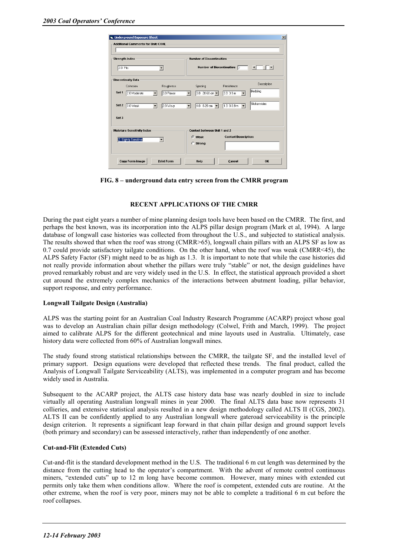|          | <b>Additional Comments for Unit: COAL</b> |                                      |                          |                                  |                                   |                                         |
|----------|-------------------------------------------|--------------------------------------|--------------------------|----------------------------------|-----------------------------------|-----------------------------------------|
|          | <b>Strength Index</b>                     |                                      |                          | <b>Number of Discontinuities</b> |                                   |                                         |
| 2.0 Pits |                                           | $\overline{\phantom{a}}$             |                          | <b>Number of Discontinuities</b> | I2                                | $\blacksquare$<br>$\blacktriangleright$ |
|          | <b>Discontinuity Data</b>                 |                                      |                          |                                  |                                   |                                         |
|          | Cohesion                                  | Roughness                            |                          | Spacing                          | Persistence                       | Description                             |
| Set 1    | 2.0 Moderate                              | 3.0 Planar                           |                          | 3.0 20-60 cm -                   | 3.0 3-9 m<br>$\blacktriangledown$ | Bedding                                 |
| Set 2    | 3.0 Weak                                  | 2.0 Wavy<br>$\overline{\phantom{a}}$ | $\overline{\phantom{a}}$ | 4.0 6-20 cm $\blacktriangledown$ | 1.0 0.0.9 m                       | Slickensides                            |
| Set 3    |                                           |                                      |                          |                                  |                                   |                                         |
|          | <b>Moisture Sensitivity Index</b>         |                                      |                          | Contact between Unit 1 and 2     |                                   |                                         |
|          | 2. Slightly Sensitive                     | $\overline{\phantom{a}}$             |                          | C Weak                           | <b>Contact Description:</b>       |                                         |
|          |                                           |                                      |                          | C Strong                         |                                   |                                         |
|          | <b>Copy Form Image</b>                    | <b>Print Form</b>                    |                          | Help                             | Cancel                            | OK                                      |

**FIG. 8 – underground data entry screen from the CMRR program** 

# **RECENT APPLICATIONS OF THE CMRR**

During the past eight years a number of mine planning design tools have been based on the CMRR. The first, and perhaps the best known, was its incorporation into the ALPS pillar design program (Mark et al, 1994). A large database of longwall case histories was collected from throughout the U.S., and subjected to statistical analysis. The results showed that when the roof was strong (CMRR>65), longwall chain pillars with an ALPS SF as low as 0.7 could provide satisfactory tailgate conditions. On the other hand, when the roof was weak (CMRR<45), the ALPS Safety Factor (SF) might need to be as high as 1.3. It is important to note that while the case histories did not really provide information about whether the pillars were truly "stable" or not, the design guidelines have proved remarkably robust and are very widely used in the U.S. In effect, the statistical approach provided a short cut around the extremely complex mechanics of the interactions between abutment loading, pillar behavior, support response, and entry performance.

#### **Longwall Tailgate Design (Australia)**

ALPS was the starting point for an Australian Coal Industry Research Programme (ACARP) project whose goal was to develop an Australian chain pillar design methodology (Colwel, Frith and March, 1999). The project aimed to calibrate ALPS for the different geotechnical and mine layouts used in Australia. Ultimately, case history data were collected from 60% of Australian longwall mines.

The study found strong statistical relationships between the CMRR, the tailgate SF, and the installed level of primary support. Design equations were developed that reflected these trends. The final product, called the Analysis of Longwall Tailgate Serviceability (ALTS), was implemented in a computer program and has become widely used in Australia.

Subsequent to the ACARP project, the ALTS case history data base was nearly doubled in size to include virtually all operating Australian longwall mines in year 2000. The final ALTS data base now represents 31 collieries, and extensive statistical analysis resulted in a new design methodology called ALTS II (CGS, 2002). ALTS II can be confidently applied to any Australian longwall where gateroad serviceability is the principle design criterion. It represents a significant leap forward in that chain pillar design and ground support levels (both primary and secondary) can be assessed interactively, rather than independently of one another.

# **Cut-and-Flit (Extended Cuts)**

Cut-and-flit is the standard development method in the U.S. The traditional 6 m cut length was determined by the distance from the cutting head to the operator's compartment. With the advent of remote control continuous miners, "extended cuts" up to 12 m long have become common. However, many mines with extended cut permits only take them when conditions allow. Where the roof is competent, extended cuts are routine. At the other extreme, when the roof is very poor, miners may not be able to complete a traditional 6 m cut before the roof collapses.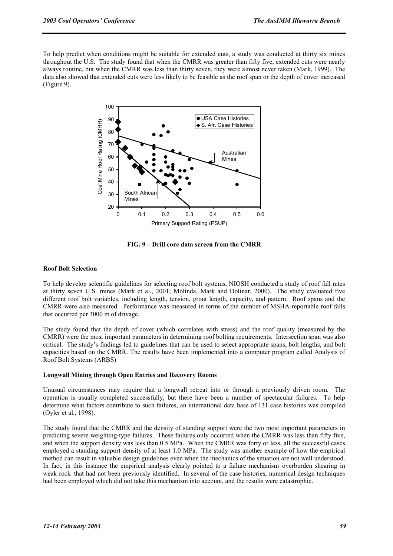To help predict when conditions might be suitable for extended cuts, a study was conducted at thirty six mines throughout the U.S. The study found that when the CMRR was greater than fifty five, extended cuts were nearly always routine, but when the CMRR was less than thirty seven, they were almost never taken (Mark, 1999). The data also showed that extended cuts were less likely to be feasible as the roof span or the depth of cover increased (Figure 9).



**FIG. 9 – Drill core data screen from the CMRR** 

# **Roof Bolt Selection**

To help develop scientific guidelines for selecting roof bolt systems, NIOSH conducted a study of roof fall rates at thirty seven U.S. mines (Mark et al., 2001; Molinda, Mark and Dolinar, 2000). The study evaluated five different roof bolt variables, including length, tension, grout length, capacity, and pattern. Roof spans and the CMRR were also measured. Performance was measured in terms of the number of MSHA-reportable roof falls that occurred per 3000 m of drivage.

The study found that the depth of cover (which correlates with stress) and the roof quality (measured by the CMRR) were the most important parameters in determining roof bolting requirements. Intersection span was also critical. The study's findings led to guidelines that can be used to select appropriate spans, bolt lengths, and bolt capacities based on the CMRR. The results have been implemented into a computer program called Analysis of Roof Bolt Systems (ARBS)

# **Longwall Mining through Open Entries and Recovery Rooms**

Unusual circumstances may require that a longwall retreat into or through a previously driven room. The operation is usually completed successfully, but there have been a number of spectacular failures. To help determine what factors contribute to such failures, an international data base of 131 case histories was compiled (Oyler et al., 1998).

The study found that the CMRR and the density of standing support were the two most important parameters in predicting severe weighting-type failures. These failures only occurred when the CMRR was less than fifty five, and when the support density was less than 0.5 MPa. When the CMRR was forty or less, all the successful cases employed a standing support density of at least 1.0 MPa. The study was another example of how the empirical method can result in valuable design guidelines even when the mechanics of the situation are not well understood. In fact, in this instance the empirical analysis clearly pointed to a failure mechanism–overburden shearing in weak rock–that had not been previously identified. In several of the case histories, numerical design techniques had been employed which did not take this mechanism into account, and the results were catastrophic.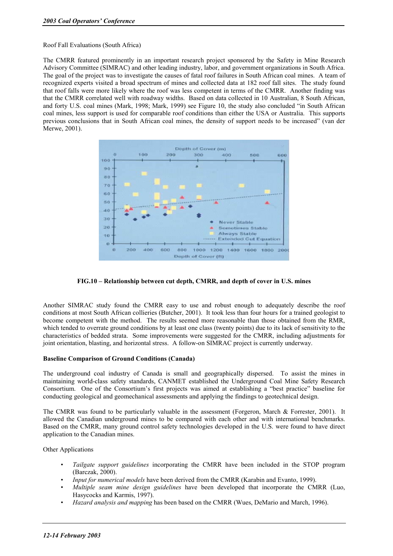Roof Fall Evaluations (South Africa)

The CMRR featured prominently in an important research project sponsored by the Safety in Mine Research Advisory Committee (SIMRAC) and other leading industry, labor, and government organizations in South Africa. The goal of the project was to investigate the causes of fatal roof failures in South African coal mines. A team of recognized experts visited a broad spectrum of mines and collected data at 182 roof fall sites. The study found that roof falls were more likely where the roof was less competent in terms of the CMRR. Another finding was that the CMRR correlated well with roadway widths. Based on data collected in 10 Australian, 8 South African, and forty U.S. coal mines (Mark, 1998; Mark, 1999) see Figure 10, the study also concluded "in South African coal mines, less support is used for comparable roof conditions than either the USA or Australia. This supports previous conclusions that in South African coal mines, the density of support needs to be increased" (van der Merwe, 2001).



# **FIG.10 – Relationship between cut depth, CMRR, and depth of cover in U.S. mines**

Another SIMRAC study found the CMRR easy to use and robust enough to adequately describe the roof conditions at most South African collieries (Butcher, 2001). It took less than four hours for a trained geologist to become competent with the method. The results seemed more reasonable than those obtained from the RMR, which tended to overrate ground conditions by at least one class (twenty points) due to its lack of sensitivity to the characteristics of bedded strata. Some improvements were suggested for the CMRR, including adjustments for joint orientation, blasting, and horizontal stress. A follow-on SIMRAC project is currently underway.

# **Baseline Comparison of Ground Conditions (Canada)**

The underground coal industry of Canada is small and geographically dispersed. To assist the mines in maintaining world-class safety standards, CANMET established the Underground Coal Mine Safety Research Consortium. One of the Consortium's first projects was aimed at establishing a "best practice" baseline for conducting geological and geomechanical assessments and applying the findings to geotechnical design.

The CMRR was found to be particularly valuable in the assessment (Forgeron, March & Forrester, 2001). It allowed the Canadian underground mines to be compared with each other and with international benchmarks. Based on the CMRR, many ground control safety technologies developed in the U.S. were found to have direct application to the Canadian mines.

Other Applications

- *Tailgate support guidelines* incorporating the CMRR have been included in the STOP program (Barczak, 2000).
- *Input for numerical models* have been derived from the CMRR (Karabin and Evanto, 1999).
- *Multiple seam mine design guidelines* have been developed that incorporate the CMRR (Luo, Hasycocks and Karmis, 1997).
- *Hazard analysis and mapping* has been based on the CMRR (Wues, DeMario and March, 1996).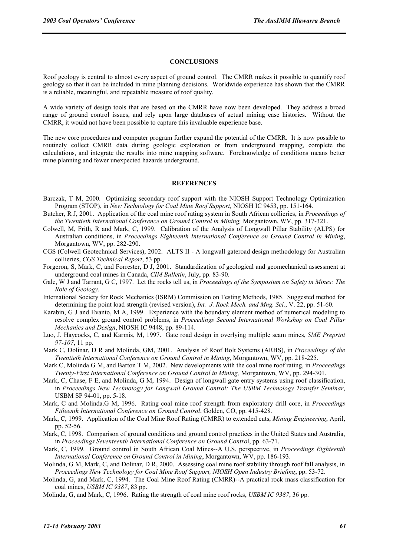## **CONCLUSIONS**

Roof geology is central to almost every aspect of ground control. The CMRR makes it possible to quantify roof geology so that it can be included in mine planning decisions. Worldwide experience has shown that the CMRR is a reliable, meaningful, and repeatable measure of roof quality.

A wide variety of design tools that are based on the CMRR have now been developed. They address a broad range of ground control issues, and rely upon large databases of actual mining case histories. Without the CMRR, it would not have been possible to capture this invaluable experience base.

The new core procedures and computer program further expand the potential of the CMRR. It is now possible to routinely collect CMRR data during geologic exploration or from underground mapping, complete the calculations, and integrate the results into mine mapping software. Foreknowledge of conditions means better mine planning and fewer unexpected hazards underground.

#### **REFERENCES**

- Barczak, T M, 2000. Optimizing secondary roof support with the NIOSH Support Technology Optimization Program (STOP), in *New Technology for Coal Mine Roof Support,* NIOSH IC 9453, pp. 151-164.
- Butcher, R J, 2001. Application of the coal mine roof rating system in South African collieries, in *Proceedings of the Twentieth International Conference on Ground Control in Mining,* Morgantown, WV, pp. 317-321.
- Colwell, M, Frith, R and Mark, C, 1999. Calibration of the Analysis of Longwall Pillar Stability (ALPS) for Australian conditions, in *Proceedings Eighteenth International Conference on Ground Control in Mining*, Morgantown, WV, pp. 282-290.
- CGS (Colwell Geotechnical Services), 2002. ALTS II A longwall gateroad design methodology for Australian collieries, *CGS Technical Report*, 53 pp.
- Forgeron, S, Mark, C, and Forrester, D J, 2001. Standardization of geological and geomechanical assessment at underground coal mines in Canada, *CIM Bulletin*, July, pp. 83-90.
- Gale, W J and Tarrant, G C, 1997. Let the rocks tell us, in *Proceedings of the Symposium on Safety in Mines: The Role of Geology.*
- International Society for Rock Mechanics (ISRM) Commission on Testing Methods, 1985. Suggested method for determining the point load strength (revised version), *Int. J. Rock Mech. and Mng. Sci.*, V. 22, pp. 51-60.
- Karabin, G J and Evanto, M A, 1999. Experience with the boundary element method of numerical modeling to resolve complex ground control problems, in *Proceedings Second International Workshop on Coal Pillar Mechanics and Design*, NIOSH IC 9448, pp. 89-114.
- Luo, J, Haycocks, C, and Karmis, M, 1997. Gate road design in overlying multiple seam mines, *SME Preprint 97-107*, 11 pp.
- Mark C, Dolinar, D R and Molinda, GM, 2001. Analysis of Roof Bolt Systems (ARBS), in *Proceedings of the Twentieth International Conference on Ground Control in Mining*, Morgantown, WV, pp. 218-225.
- Mark C, Molinda G M, and Barton T M, 2002. New developments with the coal mine roof rating, in *Proceedings Twenty-First International Conference on Ground Control in Mining,* Morgantown, WV, pp. 294-301.
- Mark, C, Chase, F E, and Molinda, G M, 1994. Design of longwall gate entry systems using roof classification, in *Proceedings New Technology for Longwall Ground Control: The USBM Technology Transfer Seminar*, USBM SP 94-01, pp. 5-18.
- Mark, C and Molinda.G M, 1996. Rating coal mine roof strength from exploratory drill core, in *Proceedings Fifteenth International Conference on Ground Control*, Golden, CO, pp. 415-428.
- Mark, C, 1999. Application of the Coal Mine Roof Rating (CMRR) to extended cuts, *Mining Engineering*, April, pp. 52-56.
- Mark, C, 1998. Comparison of ground conditions and ground control practices in the United States and Australia, in *Proceedings Seventeenth International Conference on Ground Contro*l, pp. 63-71.
- Mark, C, 1999. Ground control in South African Coal Mines--A U.S. perspective, in *Proceedings Eighteenth International Conference on Ground Control in Mining*, Morgantown, WV, pp. 186-193.
- Molinda, G M, Mark, C, and Dolinar, D R, 2000. Assessing coal mine roof stability through roof fall analysis, in *Proceedings New Technology for Coal Mine Roof Support, NIOSH Open Industry Briefing*, pp. 53-72.
- Molinda, G, and Mark, C, 1994. The Coal Mine Roof Rating (CMRR)--A practical rock mass classification for coal mines, *USBM IC 9387*, 83 pp.
- Molinda, G, and Mark, C, 1996. Rating the strength of coal mine roof rocks, *USBM IC 9387*, 36 pp.